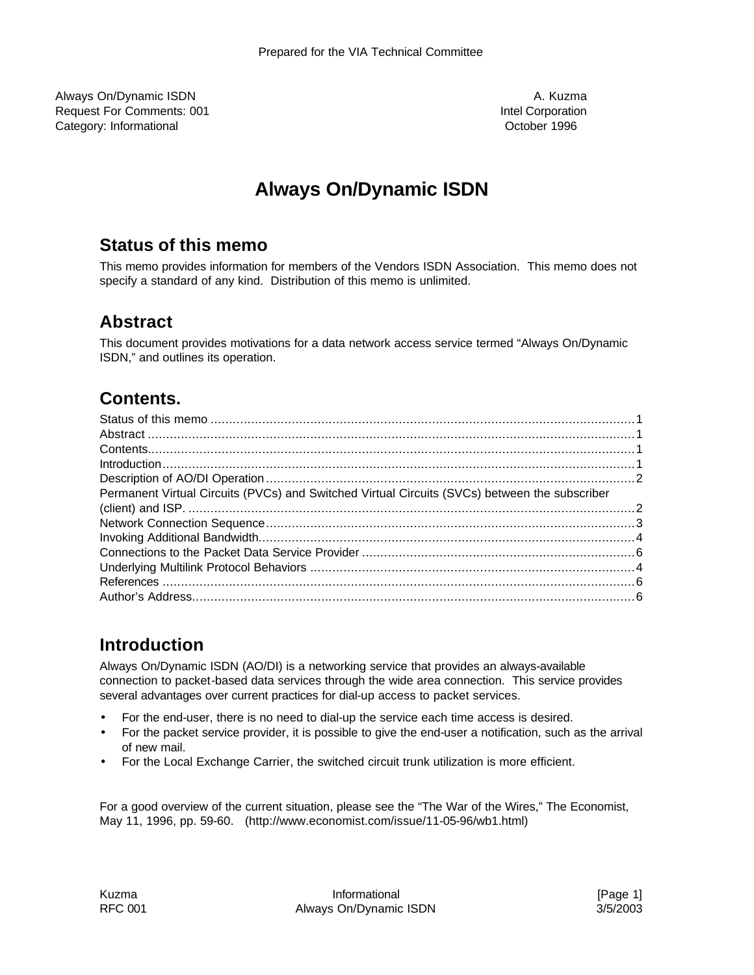Always On/Dynamic ISDN and the state of the state of the state of the state of the state of the state of the state of the state of the state of the state of the state of the state of the state of the state of the state of Request For Comments: 001 **Intel Comments: 001** Intel Corporation Category: Informational October 1996

# **Always On/Dynamic ISDN**

#### **Status of this memo**

This memo provides information for members of the Vendors ISDN Association. This memo does not specify a standard of any kind. Distribution of this memo is unlimited.

#### **Abstract**

This document provides motivations for a data network access service termed "Always On/Dynamic ISDN," and outlines its operation.

### **Contents.**

| Introduction 1.1                                                                              |  |
|-----------------------------------------------------------------------------------------------|--|
|                                                                                               |  |
| Permanent Virtual Circuits (PVCs) and Switched Virtual Circuits (SVCs) between the subscriber |  |
|                                                                                               |  |
|                                                                                               |  |
|                                                                                               |  |
|                                                                                               |  |
|                                                                                               |  |
|                                                                                               |  |
|                                                                                               |  |
|                                                                                               |  |

### **Introduction**

Always On/Dynamic ISDN (AO/DI) is a networking service that provides an always-available connection to packet-based data services through the wide area connection. This service provides several advantages over current practices for dial-up access to packet services.

- For the end-user, there is no need to dial-up the service each time access is desired.
- For the packet service provider, it is possible to give the end-user a notification, such as the arrival of new mail.
- For the Local Exchange Carrier, the switched circuit trunk utilization is more efficient.

For a good overview of the current situation, please see the "The War of the Wires," The Economist, May 11, 1996, pp. 59-60. (http://www.economist.com/issue/11-05-96/wb1.html)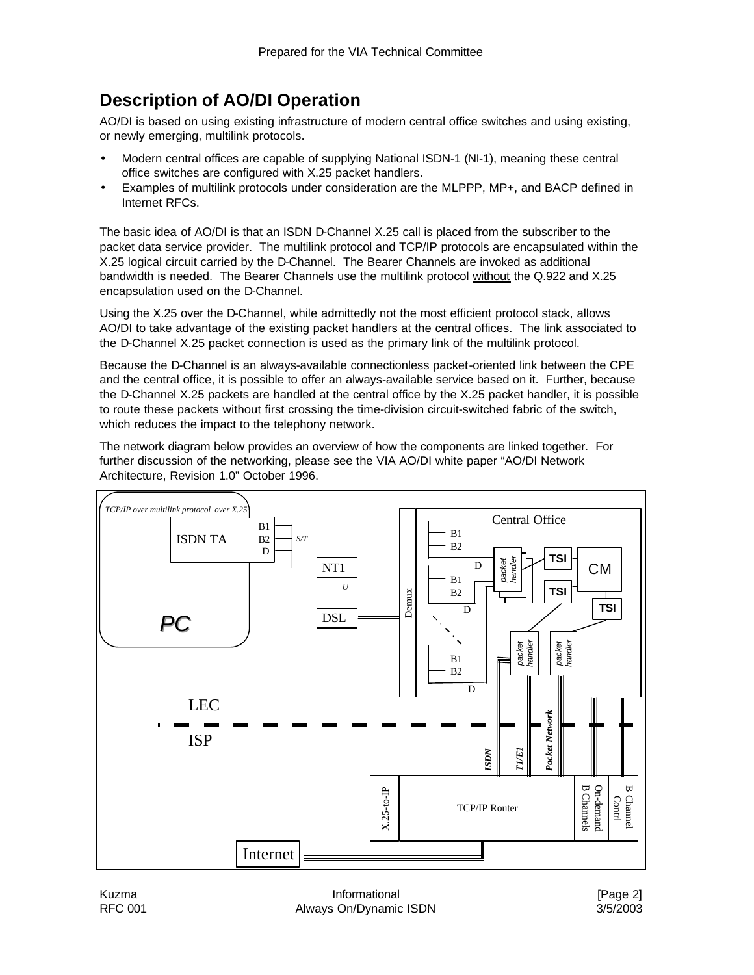## **Description of AO/DI Operation**

AO/DI is based on using existing infrastructure of modern central office switches and using existing, or newly emerging, multilink protocols.

- Modern central offices are capable of supplying National ISDN-1 (NI-1), meaning these central office switches are configured with X.25 packet handlers.
- Examples of multilink protocols under consideration are the MLPPP, MP+, and BACP defined in Internet RFCs.

The basic idea of AO/DI is that an ISDN D-Channel X.25 call is placed from the subscriber to the packet data service provider. The multilink protocol and TCP/IP protocols are encapsulated within the X.25 logical circuit carried by the D-Channel. The Bearer Channels are invoked as additional bandwidth is needed. The Bearer Channels use the multilink protocol without the Q.922 and X.25 encapsulation used on the D-Channel.

Using the X.25 over the D-Channel, while admittedly not the most efficient protocol stack, allows AO/DI to take advantage of the existing packet handlers at the central offices. The link associated to the D-Channel X.25 packet connection is used as the primary link of the multilink protocol.

Because the D-Channel is an always-available connectionless packet-oriented link between the CPE and the central office, it is possible to offer an always-available service based on it. Further, because the D-Channel X.25 packets are handled at the central office by the X.25 packet handler, it is possible to route these packets without first crossing the time-division circuit-switched fabric of the switch, which reduces the impact to the telephony network.

The network diagram below provides an overview of how the components are linked together. For further discussion of the networking, please see the VIA AO/DI white paper "AO/DI Network Architecture, Revision 1.0" October 1996.



Kuzma **Informational** Informational **Informational Informational Informational Informational** RFC 001 **Always On/Dynamic ISDN** 3/5/2003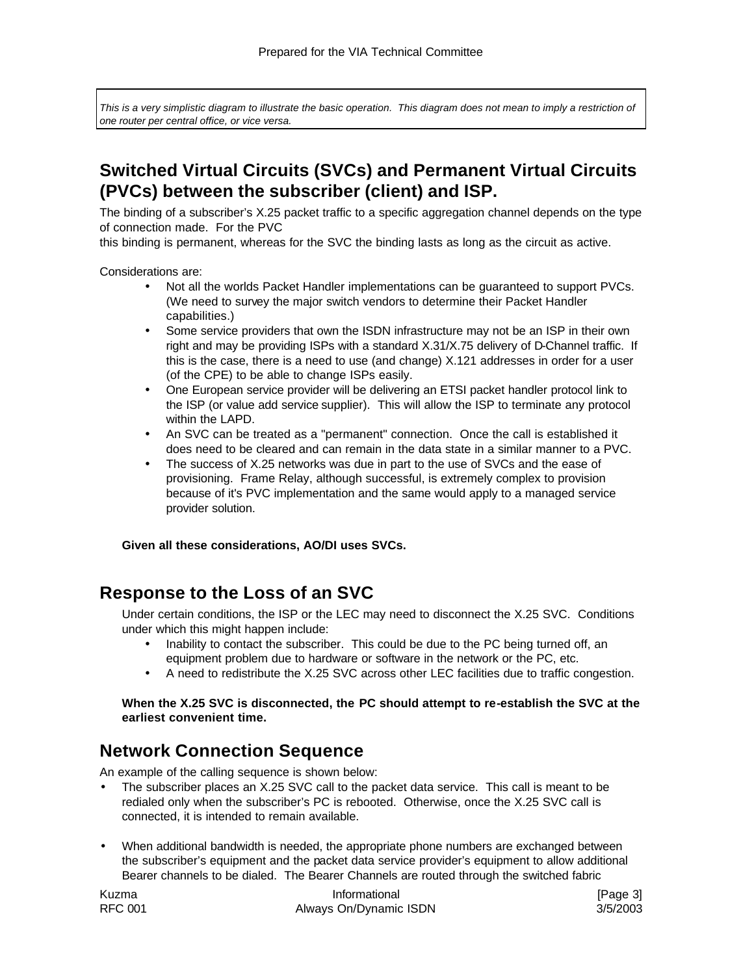This is a very simplistic diagram to illustrate the basic operation. This diagram does not mean to imply a restriction of *one router per central office, or vice versa.* 

## **Switched Virtual Circuits (SVCs) and Permanent Virtual Circuits (PVCs) between the subscriber (client) and ISP.**

The binding of a subscriber's X.25 packet traffic to a specific aggregation channel depends on the type of connection made. For the PVC

this binding is permanent, whereas for the SVC the binding lasts as long as the circuit as active.

Considerations are:

- Not all the worlds Packet Handler implementations can be guaranteed to support PVCs. (We need to survey the major switch vendors to determine their Packet Handler capabilities.)
- Some service providers that own the ISDN infrastructure may not be an ISP in their own right and may be providing ISPs with a standard X.31/X.75 delivery of D-Channel traffic. If this is the case, there is a need to use (and change) X.121 addresses in order for a user (of the CPE) to be able to change ISPs easily.
- One European service provider will be delivering an ETSI packet handler protocol link to the ISP (or value add service supplier). This will allow the ISP to terminate any protocol within the LAPD.
- An SVC can be treated as a "permanent" connection. Once the call is established it does need to be cleared and can remain in the data state in a similar manner to a PVC.
- The success of X.25 networks was due in part to the use of SVCs and the ease of provisioning. Frame Relay, although successful, is extremely complex to provision because of it's PVC implementation and the same would apply to a managed service provider solution.

**Given all these considerations, AO/DI uses SVCs.** 

#### **Response to the Loss of an SVC**

Under certain conditions, the ISP or the LEC may need to disconnect the X.25 SVC. Conditions under which this might happen include:

- Inability to contact the subscriber. This could be due to the PC being turned off, an equipment problem due to hardware or software in the network or the PC, etc.
- A need to redistribute the X.25 SVC across other LEC facilities due to traffic congestion.

#### **When the X.25 SVC is disconnected, the PC should attempt to re-establish the SVC at the earliest convenient time.**

#### **Network Connection Sequence**

An example of the calling sequence is shown below:

- The subscriber places an X.25 SVC call to the packet data service. This call is meant to be redialed only when the subscriber's PC is rebooted. Otherwise, once the X.25 SVC call is connected, it is intended to remain available.
- When additional bandwidth is needed, the appropriate phone numbers are exchanged between the subscriber's equipment and the packet data service provider's equipment to allow additional Bearer channels to be dialed. The Bearer Channels are routed through the switched fabric

| Kuzma          | Informational          | [Page 3] |
|----------------|------------------------|----------|
| <b>RFC 001</b> | Always On/Dynamic ISDN | 3/5/2003 |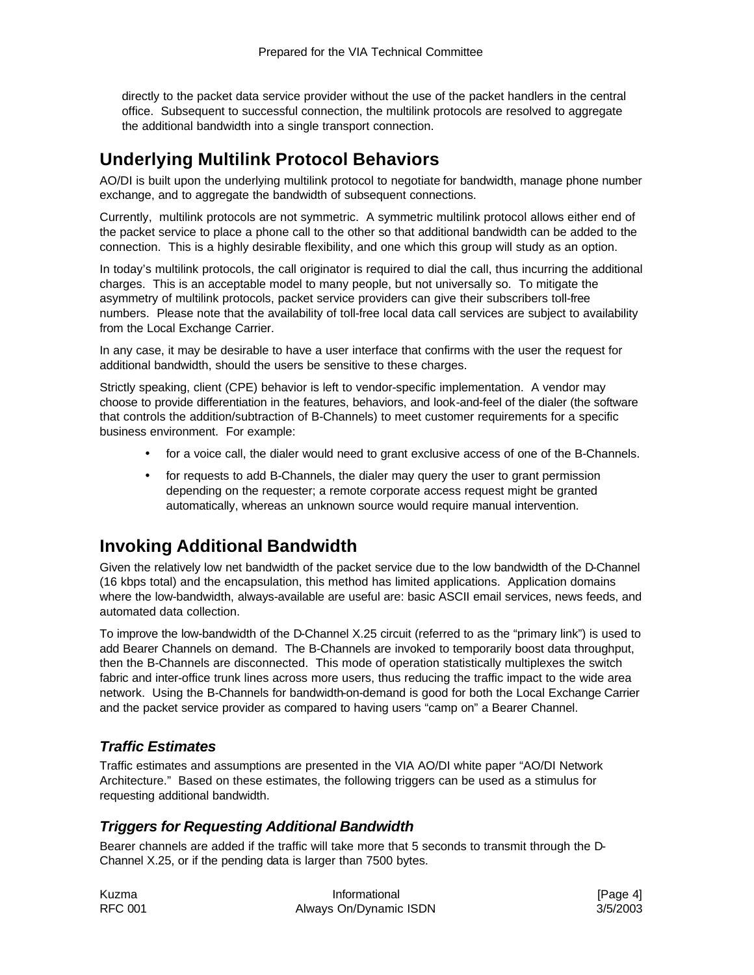directly to the packet data service provider without the use of the packet handlers in the central office. Subsequent to successful connection, the multilink protocols are resolved to aggregate the additional bandwidth into a single transport connection.

### **Underlying Multilink Protocol Behaviors**

AO/DI is built upon the underlying multilink protocol to negotiate for bandwidth, manage phone number exchange, and to aggregate the bandwidth of subsequent connections.

Currently, multilink protocols are not symmetric. A symmetric multilink protocol allows either end of the packet service to place a phone call to the other so that additional bandwidth can be added to the connection. This is a highly desirable flexibility, and one which this group will study as an option.

In today's multilink protocols, the call originator is required to dial the call, thus incurring the additional charges. This is an acceptable model to many people, but not universally so. To mitigate the asymmetry of multilink protocols, packet service providers can give their subscribers toll-free numbers. Please note that the availability of toll-free local data call services are subject to availability from the Local Exchange Carrier.

In any case, it may be desirable to have a user interface that confirms with the user the request for additional bandwidth, should the users be sensitive to these charges.

Strictly speaking, client (CPE) behavior is left to vendor-specific implementation. A vendor may choose to provide differentiation in the features, behaviors, and look-and-feel of the dialer (the software that controls the addition/subtraction of B-Channels) to meet customer requirements for a specific business environment. For example:

- for a voice call, the dialer would need to grant exclusive access of one of the B-Channels.
- for requests to add B-Channels, the dialer may query the user to grant permission depending on the requester; a remote corporate access request might be granted automatically, whereas an unknown source would require manual intervention.

### **Invoking Additional Bandwidth**

Given the relatively low net bandwidth of the packet service due to the low bandwidth of the D-Channel (16 kbps total) and the encapsulation, this method has limited applications. Application domains where the low-bandwidth, always-available are useful are: basic ASCII email services, news feeds, and automated data collection.

To improve the low-bandwidth of the D-Channel X.25 circuit (referred to as the "primary link") is used to add Bearer Channels on demand. The B-Channels are invoked to temporarily boost data throughput, then the B-Channels are disconnected. This mode of operation statistically multiplexes the switch fabric and inter-office trunk lines across more users, thus reducing the traffic impact to the wide area network. Using the B-Channels for bandwidth-on-demand is good for both the Local Exchange Carrier and the packet service provider as compared to having users "camp on" a Bearer Channel.

#### *Traffic Estimates*

Traffic estimates and assumptions are presented in the VIA AO/DI white paper "AO/DI Network Architecture." Based on these estimates, the following triggers can be used as a stimulus for requesting additional bandwidth.

#### *Triggers for Requesting Additional Bandwidth*

Bearer channels are added if the traffic will take more that 5 seconds to transmit through the D-Channel X.25, or if the pending data is larger than 7500 bytes.

| Kuzma          | Informational          | [Page 4]<br>3/5/2003 |
|----------------|------------------------|----------------------|
| <b>RFC 001</b> | Always On/Dynamic ISDN |                      |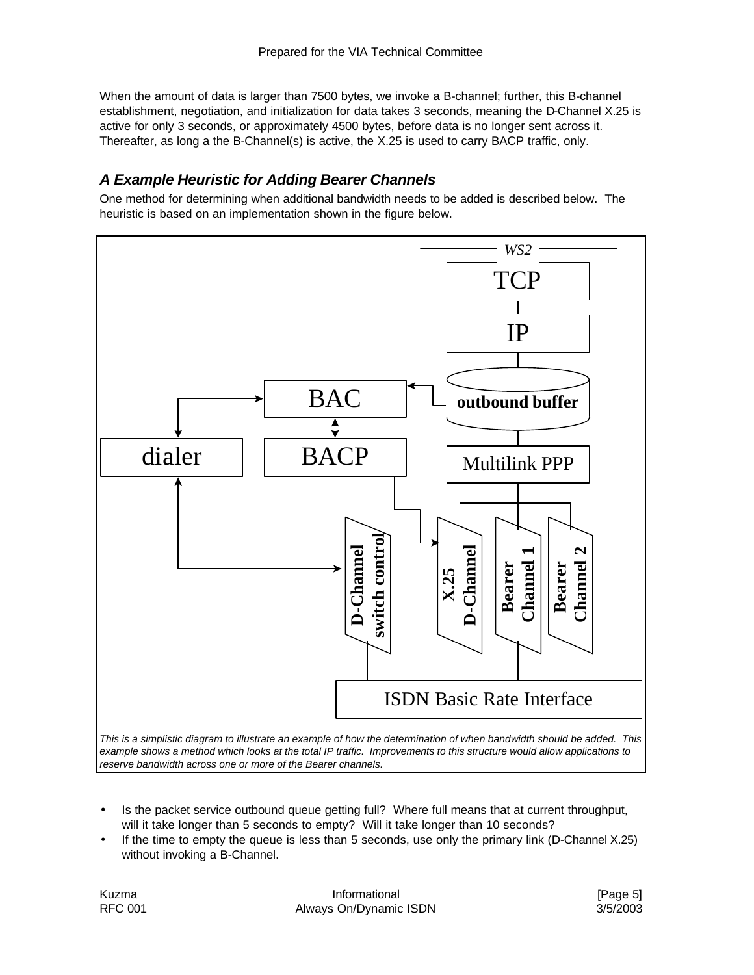When the amount of data is larger than 7500 bytes, we invoke a B-channel; further, this B-channel establishment, negotiation, and initialization for data takes 3 seconds, meaning the D-Channel X.25 is active for only 3 seconds, or approximately 4500 bytes, before data is no longer sent across it. Thereafter, as long a the B-Channel(s) is active, the X.25 is used to carry BACP traffic, only.

#### *A Example Heuristic for Adding Bearer Channels*

One method for determining when additional bandwidth needs to be added is described below. The heuristic is based on an implementation shown in the figure below.



- Is the packet service outbound queue getting full? Where full means that at current throughput, will it take longer than 5 seconds to empty? Will it take longer than 10 seconds?
- If the time to empty the queue is less than 5 seconds, use only the primary link (D-Channel X.25) without invoking a B-Channel.